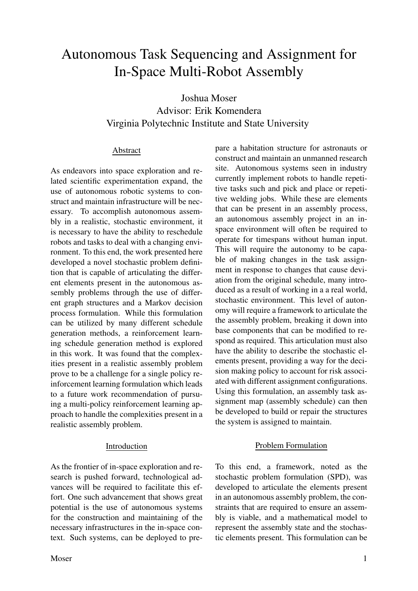# Autonomous Task Sequencing and Assignment for In-Space Multi-Robot Assembly

Joshua Moser Advisor: Erik Komendera Virginia Polytechnic Institute and State University

## Abstract

As endeavors into space exploration and related scientific experimentation expand, the use of autonomous robotic systems to construct and maintain infrastructure will be necessary. To accomplish autonomous assembly in a realistic, stochastic environment, it is necessary to have the ability to reschedule robots and tasks to deal with a changing environment. To this end, the work presented here developed a novel stochastic problem definition that is capable of articulating the different elements present in the autonomous assembly problems through the use of different graph structures and a Markov decision process formulation. While this formulation can be utilized by many different schedule generation methods, a reinforcement learning schedule generation method is explored in this work. It was found that the complexities present in a realistic assembly problem prove to be a challenge for a single policy reinforcement learning formulation which leads to a future work recommendation of pursuing a multi-policy reinforcement learning approach to handle the complexities present in a realistic assembly problem.

As the frontier of in-space exploration and research is pushed forward, technological advances will be required to facilitate this effort. One such advancement that shows great potential is the use of autonomous systems for the construction and maintaining of the necessary infrastructures in the in-space context. Such systems, can be deployed to pre-

Introduction

Moser and the set of the set of the set of the set of the set of the set of the set of the set of the set of the set of the set of the set of the set of the set of the set of the set of the set of the set of the set of the

pare a habitation structure for astronauts or construct and maintain an unmanned research site. Autonomous systems seen in industry currently implement robots to handle repetitive tasks such and pick and place or repetitive welding jobs. While these are elements that can be present in an assembly process, an autonomous assembly project in an inspace environment will often be required to operate for timespans without human input. This will require the autonomy to be capable of making changes in the task assignment in response to changes that cause deviation from the original schedule, many introduced as a result of working in a a real world, stochastic environment. This level of autonomy will require a framework to articulate the the assembly problem, breaking it down into base components that can be modified to respond as required. This articulation must also have the ability to describe the stochastic elements present, providing a way for the decision making policy to account for risk associated with different assignment configurations. Using this formulation, an assembly task assignment map (assembly schedule) can then be developed to build or repair the structures the system is assigned to maintain.

## Problem Formulation

To this end, a framework, noted as the stochastic problem formulation (SPD), was developed to articulate the elements present in an autonomous assembly problem, the constraints that are required to ensure an assembly is viable, and a mathematical model to represent the assembly state and the stochastic elements present. This formulation can be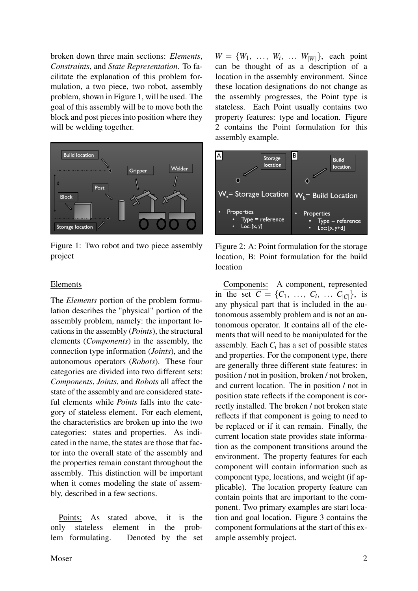broken down three main sections: *Elements*, *Constraints*, and *State Representation*. To facilitate the explanation of this problem formulation, a two piece, two robot, assembly problem, shown in Figure [1,](#page-1-0) will be used. The goal of this assembly will be to move both the block and post pieces into position where they will be welding together.

<span id="page-1-0"></span>

Figure 1: Two robot and two piece assembly project

## Elements

The *Elements* portion of the problem formulation describes the "physical" portion of the assembly problem, namely: the important locations in the assembly (*Points*), the structural elements (*Components*) in the assembly, the connection type information (*Joints*), and the autonomous operators (*Robots*). These four categories are divided into two different sets: *Components*, *Joints*, and *Robots* all affect the state of the assembly and are considered stateful elements while *Points* falls into the category of stateless element. For each element, the characteristics are broken up into the two categories: states and properties. As indicated in the name, the states are those that factor into the overall state of the assembly and the properties remain constant throughout the assembly. This distinction will be important when it comes modeling the state of assembly, described in a few sections.

Points: As stated above, it is the only stateless element in the problem formulating. Denoted by the set

 $W = \{W_1, \ldots, W_i, \ldots W_{|W|}\},$  each point can be thought of as a description of a location in the assembly environment. Since these location designations do not change as the assembly progresses, the Point type is stateless. Each Point usually contains two property features: type and location. Figure [2](#page-1-1) contains the Point formulation for this assembly example.

<span id="page-1-1"></span>

Figure 2: A: Point formulation for the storage location, B: Point formulation for the build location

Components: A component, represented in the set  $C = \{C_1, \ldots, C_i, \ldots C_{|C|}\},\$ is any physical part that is included in the autonomous assembly problem and is not an autonomous operator. It contains all of the elements that will need to be manipulated for the assembly. Each *C<sup>i</sup>* has a set of possible states and properties. For the component type, there are generally three different state features: in position / not in position, broken / not broken, and current location. The in position / not in position state reflects if the component is correctly installed. The broken / not broken state reflects if that component is going to need to be replaced or if it can remain. Finally, the current location state provides state information as the component transitions around the environment. The property features for each component will contain information such as component type, locations, and weight (if applicable). The location property feature can contain points that are important to the component. Two primary examples are start location and goal location. Figure [3](#page-2-0) contains the component formulations at the start of this example assembly project.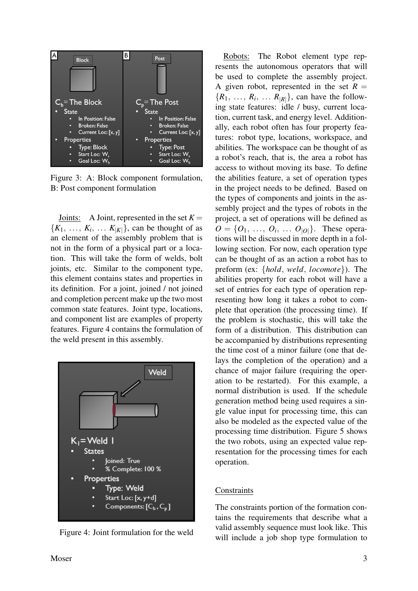<span id="page-2-0"></span>

Figure 3: A: Block component formulation, B: Post component formulation

Joints: A Joint, represented in the set  $K =$  $\{K_1, \ldots, K_i, \ldots K_{|K|}\}\$ , can be thought of as an element of the assembly problem that is not in the form of a physical part or a location. This will take the form of welds, bolt joints, etc. Similar to the component type, this element contains states and properties in its definition. For a joint, joined / not joined and completion percent make up the two most common state features. Joint type, locations, and component list are examples of property features. Figure [4](#page-2-1) contains the formulation of the weld present in this assembly.

<span id="page-2-1"></span>

Figure 4: Joint formulation for the weld

Robots: The Robot element type represents the autonomous operators that will be used to complete the assembly project. A given robot, represented in the set  $R =$  $\{R_1, \ldots, R_i, \ldots R_{|R|}\}$ , can have the following state features: idle / busy, current location, current task, and energy level. Additionally, each robot often has four property features: robot type, locations, workspace, and abilities. The workspace can be thought of as a robot's reach, that is, the area a robot has access to without moving its base. To define the abilities feature, a set of operation types in the project needs to be defined. Based on the types of components and joints in the assembly project and the types of robots in the project, a set of operations will be defined as  $O = \{O_1, \ldots, O_i, \ldots O_{|O|}\}.$  These operations will be discussed in more depth in a following section. For now, each operation type can be thought of as an action a robot has to preform (ex: {*hold*, *weld*, *locomote*}). The abilities property for each robot will have a set of entries for each type of operation representing how long it takes a robot to complete that operation (the processing time). If the problem is stochastic, this will take the form of a distribution. This distribution can be accompanied by distributions representing the time cost of a minor failure (one that delays the completion of the operation) and a chance of major failure (requiring the operation to be restarted). For this example, a normal distribution is used. If the schedule generation method being used requires a single value input for processing time, this can also be modeled as the expected value of the processing time distribution. Figure [5](#page-3-0) shows the two robots, using an expected value representation for the processing times for each operation.

#### **Constraints**

The constraints portion of the formation contains the requirements that describe what a valid assembly sequence must look like. This will include a job shop type formulation to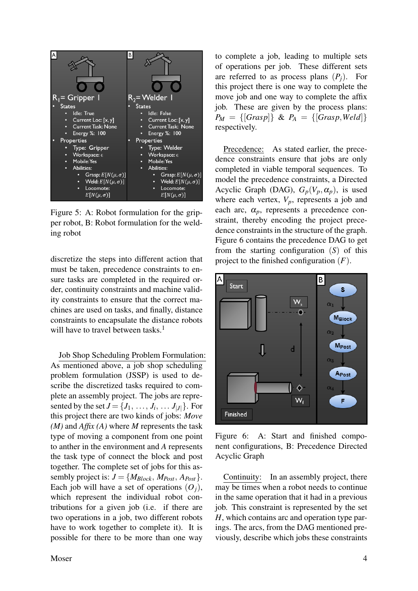<span id="page-3-0"></span>

Figure 5: A: Robot formulation for the gripper robot, B: Robot formulation for the welding robot

discretize the steps into different action that must be taken, precedence constraints to ensure tasks are completed in the required order, continuity constraints and machine validity constraints to ensure that the correct machines are used on tasks, and finally, distance constraints to encapsulate the distance robots will have to travel between tasks.<sup>[1](#page-9-0)</sup>

Job Shop Scheduling Problem Formulation: As mentioned above, a job shop scheduling problem formulation (JSSP) is used to describe the discretized tasks required to complete an assembly project. The jobs are represented by the set  $J = \{J_1, \ldots, J_i, \ldots J_{|J|}\}$ . For this project there are two kinds of jobs: *Move (M)* and *Affix (A)* where *M* represents the task type of moving a component from one point to anther in the environment and *A* represents the task type of connect the block and post together. The complete set of jobs for this assembly project is:  $J = \{M_{Block}, M_{Post}, A_{Post}\}.$ Each job will have a set of operations  $(O_i)$ , which represent the individual robot contributions for a given job (i.e. if there are two operations in a job, two different robots have to work together to complete it). It is possible for there to be more than one way

Moser 4

to complete a job, leading to multiple sets of operations per job. These different sets are referred to as process plans  $(P_i)$ . For this project there is one way to complete the move job and one way to complete the affix job. These are given by the process plans:  $P_M = \{ [Grasp] \} \& P_A = \{ [Grasp, Weld] \}$ respectively.

Precedence: As stated earlier, the precedence constraints ensure that jobs are only completed in viable temporal sequences. To model the precedence constraints, a Directed Acyclic Graph (DAG),  $G_p(V_p, \alpha_p)$ , is used where each vertex,  $V_p$ , represents a job and each arc,  $\alpha_p$ , represents a precedence constraint, thereby encoding the project precedence constraints in the structure of the graph. Figure [6](#page-3-1) contains the precedence DAG to get from the starting configuration (*S*) of this project to the finished configuration (*F*).

<span id="page-3-1"></span>

Figure 6: A: Start and finished component configurations, B: Precedence Directed Acyclic Graph

Continuity: In an assembly project, there may be times when a robot needs to continue in the same operation that it had in a previous job. This constraint is represented by the set *H*, which contains arc and operation type parings. The arcs, from the DAG mentioned previously, describe which jobs these constraints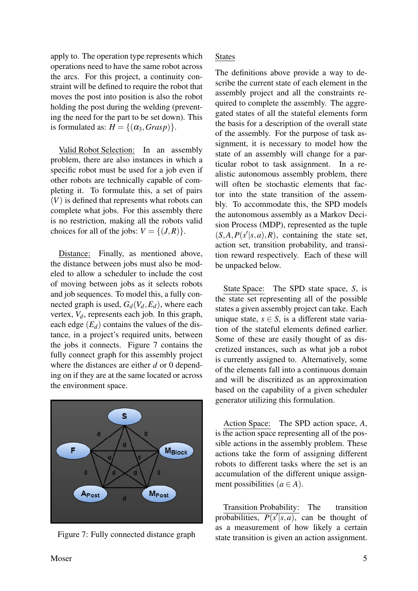apply to. The operation type represents which operations need to have the same robot across the arcs. For this project, a continuity constraint will be defined to require the robot that moves the post into position is also the robot holding the post during the welding (preventing the need for the part to be set down). This is formulated as:  $H = \{(\alpha_3, Grasp)\}.$ 

Valid Robot Selection: In an assembly problem, there are also instances in which a specific robot must be used for a job even if other robots are technically capable of completing it. To formulate this, a set of pairs (*V*) is defined that represents what robots can complete what jobs. For this assembly there is no restriction, making all the robots valid choices for all of the jobs:  $V = \{(J,R)\}.$ 

Distance: Finally, as mentioned above, the distance between jobs must also be modeled to allow a scheduler to include the cost of moving between jobs as it selects robots and job sequences. To model this, a fully connected graph is used,  $G_d(V_d, E_d)$ , where each vertex,  $V_d$ , represents each job. In this graph, each edge  $(E_d)$  contains the values of the distance, in a project's required units, between the jobs it connects. Figure [7](#page-4-0) contains the fully connect graph for this assembly project where the distances are either *d* or 0 depending on if they are at the same located or across the environment space.

<span id="page-4-0"></span>

Figure 7: Fully connected distance graph

The definitions above provide a way to describe the current state of each element in the assembly project and all the constraints required to complete the assembly. The aggregated states of all the stateful elements form the basis for a description of the overall state of the assembly. For the purpose of task assignment, it is necessary to model how the state of an assembly will change for a particular robot to task assignment. In a realistic autonomous assembly problem, there will often be stochastic elements that factor into the state transition of the assembly. To accommodate this, the SPD models the autonomous assembly as a Markov Decision Process (MDP), represented as the tuple  $(S, A, P(s'|s, a), R)$ , containing the state set, action set, transition probability, and transition reward respectively. Each of these will be unpacked below.

State Space: The SPD state space, *S*, is the state set representing all of the possible states a given assembly project can take. Each unique state,  $s \in S$ , is a different state variation of the stateful elements defined earlier. Some of these are easily thought of as discretized instances, such as what job a robot is currently assigned to. Alternatively, some of the elements fall into a continuous domain and will be discritized as an approximation based on the capability of a given scheduler generator utilizing this formulation.

Action Space: The SPD action space, *A*, is the action space representing all of the possible actions in the assembly problem. These actions take the form of assigning different robots to different tasks where the set is an accumulation of the different unique assignment possibilities  $(a \in A)$ .

Transition Probability: The transition probabilities,  $P(s'|s,a)$ , can be thought of as a measurement of how likely a certain state transition is given an action assignment.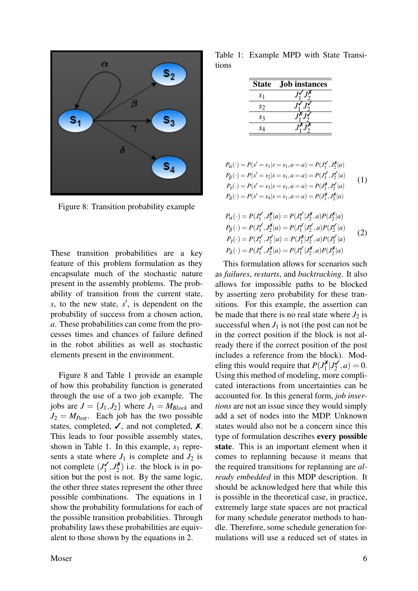<span id="page-5-0"></span>

Figure 8: Transition probability example

These transition probabilities are a key feature of this problem formulation as they encapsulate much of the stochastic nature present in the assembly problems. The probability of transition from the current state,  $s$ , to the new state,  $s'$ , is dependent on the probability of success from a chosen action, *a*. These probabilities can come from the processes times and chances of failure defined in the robot abilities as well as stochastic elements present in the environment.

Figure [8](#page-5-0) and Table [1](#page-5-1) provide an example of how this probability function is generated through the use of a two job example. The jobs are  $J = \{J_1, J_2\}$  where  $J_1 = M_{Block}$  and  $J_2 = M_{Post}$ . Each job has the two possible states, completed,  $\checkmark$ , and not completed,  $\checkmark$ . This leads to four possible assembly states, shown in Table [1.](#page-5-1) In this example,  $s_1$  represents a state where  $J_1$  is complete and  $J_2$  is not complete  $(J_1^{\prime})$  $J_1^{\prime}, J_2^{\prime}$  $2^{(\lambda)}$ ) i.e. the block is in position but the post is not. By the same logic, the other three states represent the other three possible combinations. The equations in [1](#page-5-2) show the probability formulations for each of the possible transition probabilities. Through probability laws these probabilities are equivalent to those shown by the equations in [2.](#page-5-3)

<span id="page-5-1"></span>Table 1: Example MPD with State Transitions

| <b>State</b>   | <b>Job</b> instances |
|----------------|----------------------|
| S <sub>1</sub> |                      |
| S2             |                      |
| S3             |                      |
| S4             |                      |

<span id="page-5-2"></span>
$$
P_{\alpha}(\cdot) = P(s' = s_1 | s = s_1, a = a) = P(J'_1, J''_2 | a)
$$
  
\n
$$
P_{\beta}(\cdot) = P(s' = s_2 | s = s_1, a = a) = P(J'_1, J'_2 | a)
$$
  
\n
$$
P_{\gamma}(\cdot) = P(s' = s_3 | s = s_1, a = a) = P(J''_1, J''_2 | a)
$$
  
\n
$$
P_{\delta}(\cdot) = P(s' = s_4 | s = s_1, a = a) = P(J''_1, J''_2 | a)
$$
\n(1)

<span id="page-5-3"></span>
$$
P_{\alpha}(\cdot) = P(J_1', J_2^{\mathbf{X}} | a) = P(J_1' | J_2^{\mathbf{X}}, a) P(J_2^{\mathbf{X}} | a)
$$
  
\n
$$
P_{\beta}(\cdot) = P(J_1', J_2^{\mathbf{X}} | a) = P(J_1' | J_2', a) P(J_2' | a)
$$
  
\n
$$
P_{\gamma}(\cdot) = P(J_1', J_2' | a) = P(J_1^{\mathbf{X}} | J_2', a) P(J_2' | a)
$$
  
\n
$$
P_{\delta}(\cdot) = P(J_1', J_2^{\mathbf{X}} | a) = P(J_1' | J_2^{\mathbf{X}}, a) P(J_2^{\mathbf{X}} | a)
$$
  
\n(2)

This formulation allows for scenarios such as *failures*, *restarts*, and *backtracking*. It also allows for impossible paths to be blocked by asserting zero probability for these transitions. For this example, the assertion can be made that there is no real state where  $J_2$  is successful when  $J_1$  is not (the post can not be in the correct position if the block is not already there if the correct position of the post includes a reference from the block). Modeling this would require that  $P(J_1^{\mathbf{X}})$  $J_1^{\prime}$   $J_2^{\prime}$  $a'_{2}$ ,  $a) = 0$ . Using this method of modeling, more complicated interactions from uncertainties can be accounted for. In this general form, *job insertions* are not an issue since they would simply add a set of nodes into the MDP. Unknown states would also not be a concern since this type of formulation describes every possible state. This is an important element when it comes to replanning because it means that the required transitions for replanning are *already embedded* in this MDP description. It should be acknowledged here that while this is possible in the theoretical case, in practice, extremely large state spaces are not practical for many schedule generator methods to handle. Therefore, some schedule generation formulations will use a reduced set of states in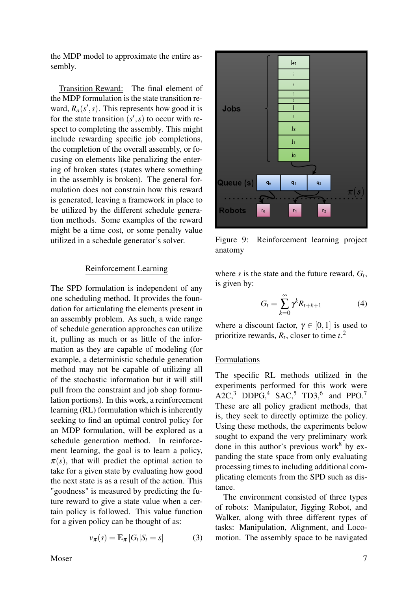the MDP model to approximate the entire assembly.

Transition Reward: The final element of the MDP formulation is the state transition reward,  $R_a(s', s)$ . This represents how good it is for the state transition  $(s', s)$  to occur with respect to completing the assembly. This might include rewarding specific job completions, the completion of the overall assembly, or focusing on elements like penalizing the entering of broken states (states where something in the assembly is broken). The general formulation does not constrain how this reward is generated, leaving a framework in place to be utilized by the different schedule generation methods. Some examples of the reward might be a time cost, or some penalty value utilized in a schedule generator's solver.

#### Reinforcement Learning

The SPD formulation is independent of any one scheduling method. It provides the foundation for articulating the elements present in an assembly problem. As such, a wide range of schedule generation approaches can utilize it, pulling as much or as little of the information as they are capable of modeling (for example, a deterministic schedule generation method may not be capable of utilizing all of the stochastic information but it will still pull from the constraint and job shop formulation portions). In this work, a reinforcement learning (RL) formulation which is inherently seeking to find an optimal control policy for an MDP formulation, will be explored as a schedule generation method. In reinforcement learning, the goal is to learn a policy,  $\pi(s)$ , that will predict the optimal action to take for a given state by evaluating how good the next state is as a result of the action. This "goodness" is measured by predicting the future reward to give a state value when a certain policy is followed. This value function for a given policy can be thought of as:

$$
v_{\pi}(s) = \mathbb{E}_{\pi} [G_t | S_t = s]
$$
 (3)



<span id="page-6-0"></span>

Figure 9: Reinforcement learning project anatomy

where  $s$  is the state and the future reward,  $G_t$ , is given by:

$$
G_t = \sum_{k=0}^{\infty} \gamma^k R_{t+k+1} \tag{4}
$$

where a discount factor,  $\gamma \in [0,1]$  is used to prioritize rewards, *R<sup>t</sup>* , closer to time *t*. [2](#page-9-1)

#### Formulations

The specific RL methods utilized in the experiments performed for this work were  $A2C<sup>3</sup>$  $A2C<sup>3</sup>$  $A2C<sup>3</sup>$  DDPG<sub>[4](#page-9-3)</sub><sup>4</sup> SAC<sub>1</sub><sup>[5](#page-9-4)</sup> TD3<sub>1</sub><sup>[6](#page-9-5)</sup> and PPO<sub>1</sub><sup>[7](#page-9-6)</sup> These are all policy gradient methods, that is, they seek to directly optimize the policy. Using these methods, the experiments below sought to expand the very preliminary work done in this author's previous work<sup>[8](#page-9-7)</sup> by expanding the state space from only evaluating processing times to including additional complicating elements from the SPD such as distance.

The environment consisted of three types of robots: Manipulator, Jigging Robot, and Walker, along with three different types of tasks: Manipulation, Alignment, and Locomotion. The assembly space to be navigated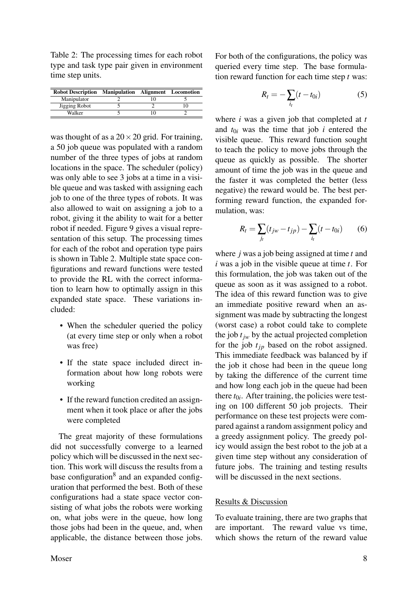<span id="page-7-0"></span>Table 2: The processing times for each robot type and task type pair given in environment time step units.

| <b>Robot Description</b> | <b>Manipulation Alignment Locomotion</b> |  |
|--------------------------|------------------------------------------|--|
| Manipulator              |                                          |  |
| Jigging Robot            |                                          |  |
| Walker                   |                                          |  |

was thought of as a  $20 \times 20$  grid. For training, a 50 job queue was populated with a random number of the three types of jobs at random locations in the space. The scheduler (policy) was only able to see 3 jobs at a time in a visible queue and was tasked with assigning each job to one of the three types of robots. It was also allowed to wait on assigning a job to a robot, giving it the ability to wait for a better robot if needed. Figure [9](#page-6-0) gives a visual representation of this setup. The processing times for each of the robot and operation type pairs is shown in Table [2.](#page-7-0) Multiple state space configurations and reward functions were tested to provide the RL with the correct information to learn how to optimally assign in this expanded state space. These variations included:

- When the scheduler queried the policy (at every time step or only when a robot was free)
- If the state space included direct information about how long robots were working
- If the reward function credited an assignment when it took place or after the jobs were completed

The great majority of these formulations did not successfully converge to a learned policy which will be discussed in the next section. This work will discuss the results from a base configuration<sup>[8](#page-9-7)</sup> and an expanded configuration that performed the best. Both of these configurations had a state space vector consisting of what jobs the robots were working on, what jobs were in the queue, how long those jobs had been in the queue, and, when applicable, the distance between those jobs. For both of the configurations, the policy was queried every time step. The base formulation reward function for each time step *t* was:

$$
R_t = -\sum_{i_t} (t - t_{0i}) \tag{5}
$$

where *i* was a given job that completed at *t* and  $t_{0i}$  was the time that job  $i$  entered the visible queue. This reward function sought to teach the policy to move jobs through the queue as quickly as possible. The shorter amount of time the job was in the queue and the faster it was completed the better (less negative) the reward would be. The best performing reward function, the expanded formulation, was:

<span id="page-7-1"></span>
$$
R_t = \sum_{j_t} (t_{jw} - t_{jp}) - \sum_{i_t} (t - t_{0i}) \tag{6}
$$

where *j* was a job being assigned at time *t* and *i* was a job in the visible queue at time *t*. For this formulation, the job was taken out of the queue as soon as it was assigned to a robot. The idea of this reward function was to give an immediate positive reward when an assignment was made by subtracting the longest (worst case) a robot could take to complete the job  $t_{iw}$  by the actual projected completion for the job  $t_{ip}$  based on the robot assigned. This immediate feedback was balanced by if the job it chose had been in the queue long by taking the difference of the current time and how long each job in the queue had been there  $t_{0i}$ . After training, the policies were testing on 100 different 50 job projects. Their performance on these test projects were compared against a random assignment policy and a greedy assignment policy. The greedy policy would assign the best robot to the job at a given time step without any consideration of future jobs. The training and testing results will be discussed in the next sections.

## Results & Discussion

To evaluate training, there are two graphs that are important. The reward value vs time, which shows the return of the reward value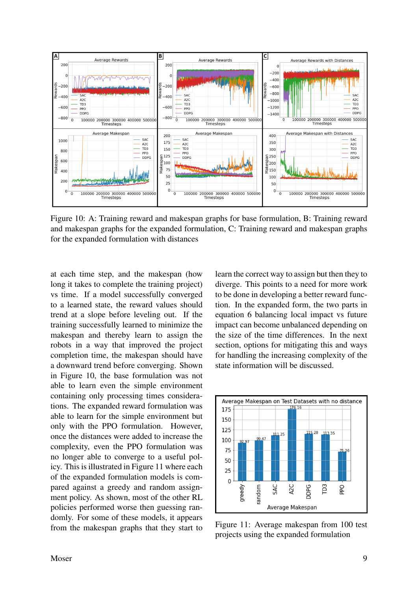<span id="page-8-0"></span>

Figure 10: A: Training reward and makespan graphs for base formulation, B: Training reward and makespan graphs for the expanded formulation, C: Training reward and makespan graphs for the expanded formulation with distances

at each time step, and the makespan (how long it takes to complete the training project) vs time. If a model successfully converged to a learned state, the reward values should trend at a slope before leveling out. If the training successfully learned to minimize the makespan and thereby learn to assign the robots in a way that improved the project completion time, the makespan should have a downward trend before converging. Shown in Figure [10,](#page-8-0) the base formulation was not able to learn even the simple environment containing only processing times considerations. The expanded reward formulation was able to learn for the simple environment but only with the PPO formulation. However, once the distances were added to increase the complexity, even the PPO formulation was no longer able to converge to a useful policy. This is illustrated in Figure [11](#page-8-1) where each of the expanded formulation models is compared against a greedy and random assignment policy. As shown, most of the other RL policies performed worse then guessing randomly. For some of these models, it appears from the makespan graphs that they start to learn the correct way to assign but then they to diverge. This points to a need for more work to be done in developing a better reward function. In the expanded form, the two parts in equation [6](#page-7-1) balancing local impact vs future impact can become unbalanced depending on the size of the time differences. In the next section, options for mitigating this and ways for handling the increasing complexity of the state information will be discussed.

<span id="page-8-1"></span>

Figure 11: Average makespan from 100 test projects using the expanded formulation